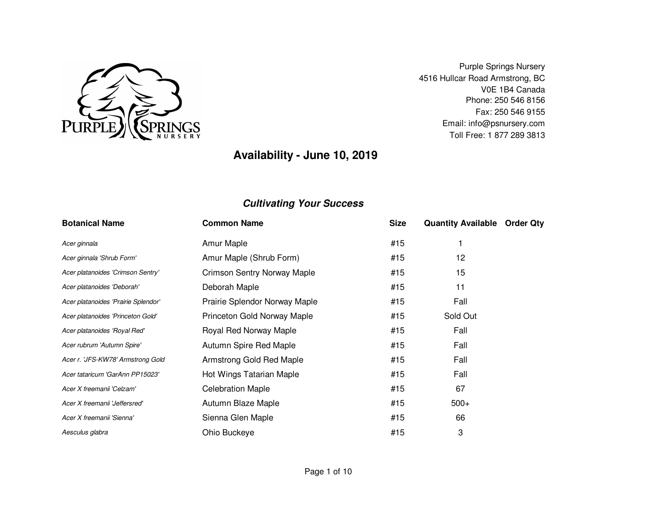

Purple Springs Nursery 4516 Hullcar Road Armstrong, BC V0E 1B4 Canada Phone: 250 546 8156 Fax: 250 546 9155 Email: info@psnursery.comToll Free: 1 877 289 3813

# **Availability - June 10, 2019**

| <b>Botanical Name</b>               | <b>Common Name</b>                 | <b>Size</b> | <b>Quantity Available Order Qty</b> |  |
|-------------------------------------|------------------------------------|-------------|-------------------------------------|--|
| Acer ginnala                        | Amur Maple                         | #15         |                                     |  |
| Acer ginnala 'Shrub Form'           | Amur Maple (Shrub Form)            | #15         | 12                                  |  |
| Acer platanoides 'Crimson Sentry'   | <b>Crimson Sentry Norway Maple</b> | #15         | 15                                  |  |
| Acer platanoides 'Deborah'          | Deborah Maple                      | #15         | 11                                  |  |
| Acer platanoides 'Prairie Splendor' | Prairie Splendor Norway Maple      | #15         | Fall                                |  |
| Acer platanoides 'Princeton Gold'   | Princeton Gold Norway Maple        | #15         | Sold Out                            |  |
| Acer platanoides 'Royal Red'        | Royal Red Norway Maple             | #15         | Fall                                |  |
| Acer rubrum 'Autumn Spire'          | Autumn Spire Red Maple             | #15         | Fall                                |  |
| Acer r. 'JFS-KW78' Armstrong Gold   | Armstrong Gold Red Maple           | #15         | Fall                                |  |
| Acer tataricum 'GarAnn PP15023'     | Hot Wings Tatarian Maple           | #15         | Fall                                |  |
| Acer X freemanii 'Celzam'           | <b>Celebration Maple</b>           | #15         | 67                                  |  |
| Acer X freemanii 'Jeffersred'       | Autumn Blaze Maple                 | #15         | $500+$                              |  |
| Acer X freemanii 'Sienna'           | Sienna Glen Maple                  | #15         | 66                                  |  |
| Aesculus glabra                     | Ohio Buckeye                       | #15         | 3                                   |  |
|                                     |                                    |             |                                     |  |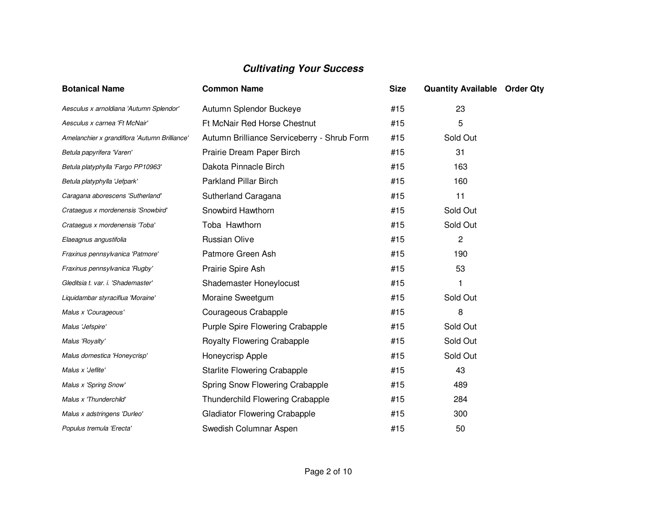| <b>Botanical Name</b>                         | <b>Common Name</b>                          | <b>Size</b> | <b>Quantity Available Order Qty</b> |  |
|-----------------------------------------------|---------------------------------------------|-------------|-------------------------------------|--|
| Aesculus x arnoldiana 'Autumn Splendor'       | Autumn Splendor Buckeye                     | #15         | 23                                  |  |
| Aesculus x carnea 'Ft McNair'                 | Ft McNair Red Horse Chestnut                | #15         | 5                                   |  |
| Amelanchier x grandiflora 'Autumn Brilliance' | Autumn Brilliance Serviceberry - Shrub Form | #15         | Sold Out                            |  |
| Betula papyrifera 'Varen'                     | Prairie Dream Paper Birch                   | #15         | 31                                  |  |
| Betula platyphylla 'Fargo PP10963'            | Dakota Pinnacle Birch                       | #15         | 163                                 |  |
| Betula platyphylla 'Jefpark'                  | <b>Parkland Pillar Birch</b>                | #15         | 160                                 |  |
| Caragana aborescens 'Sutherland'              | Sutherland Caragana                         | #15         | 11                                  |  |
| Crataegus x mordenensis 'Snowbird'            | Snowbird Hawthorn                           | #15         | Sold Out                            |  |
| Crataegus x mordenensis 'Toba'                | Toba Hawthorn                               | #15         | Sold Out                            |  |
| Elaeagnus angustifolia                        | <b>Russian Olive</b>                        | #15         | $\mathbf{2}$                        |  |
| Fraxinus pennsylvanica 'Patmore'              | Patmore Green Ash                           | #15         | 190                                 |  |
| Fraxinus pennsylvanica 'Rugby'                | Prairie Spire Ash                           | #15         | 53                                  |  |
| Gleditsia t. var. i. 'Shademaster'            | Shademaster Honeylocust                     | #15         |                                     |  |
| Liquidambar styraciflua 'Moraine'             | Moraine Sweetgum                            | #15         | Sold Out                            |  |
| Malus x 'Courageous'                          | Courageous Crabapple                        | #15         | 8                                   |  |
| Malus 'Jefspire'                              | Purple Spire Flowering Crabapple            | #15         | Sold Out                            |  |
| Malus 'Royalty'                               | <b>Royalty Flowering Crabapple</b>          | #15         | Sold Out                            |  |
| Malus domestica 'Honeycrisp'                  | Honeycrisp Apple                            | #15         | Sold Out                            |  |
| Malus x 'Jeflite'                             | <b>Starlite Flowering Crabapple</b>         | #15         | 43                                  |  |
| Malus x 'Spring Snow'                         | Spring Snow Flowering Crabapple             | #15         | 489                                 |  |
| Malus x 'Thunderchild'                        | Thunderchild Flowering Crabapple            | #15         | 284                                 |  |
| Malus x adstringens 'Durleo'                  | <b>Gladiator Flowering Crabapple</b>        | #15         | 300                                 |  |
| Populus tremula 'Erecta'                      | Swedish Columnar Aspen                      | #15         | 50                                  |  |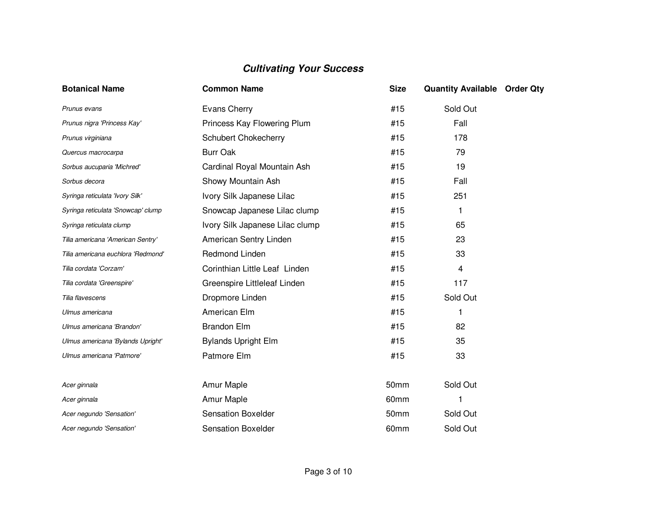| <b>Botanical Name</b>              | <b>Common Name</b>              | <b>Size</b> | <b>Quantity Available Order Qty</b> |  |
|------------------------------------|---------------------------------|-------------|-------------------------------------|--|
| Prunus evans                       | Evans Cherry                    | #15         | Sold Out                            |  |
| Prunus nigra 'Princess Kay'        | Princess Kay Flowering Plum     | #15         | Fall                                |  |
| Prunus virginiana                  | <b>Schubert Chokecherry</b>     | #15         | 178                                 |  |
| Quercus macrocarpa                 | <b>Burr Oak</b>                 | #15         | 79                                  |  |
| Sorbus aucuparia 'Michred'         | Cardinal Royal Mountain Ash     | #15         | 19                                  |  |
| Sorbus decora                      | Showy Mountain Ash              | #15         | Fall                                |  |
| Syringa reticulata 'Ivory Silk'    | Ivory Silk Japanese Lilac       | #15         | 251                                 |  |
| Syringa reticulata 'Snowcap' clump | Snowcap Japanese Lilac clump    | #15         | 1                                   |  |
| Syringa reticulata clump           | Ivory Silk Japanese Lilac clump | #15         | 65                                  |  |
| Tilia americana 'American Sentry'  | American Sentry Linden          | #15         | 23                                  |  |
| Tilia americana euchlora 'Redmond' | Redmond Linden                  | #15         | 33                                  |  |
| Tilia cordata 'Corzam'             | Corinthian Little Leaf Linden   | #15         | 4                                   |  |
| Tilia cordata 'Greenspire'         | Greenspire Littleleaf Linden    | #15         | 117                                 |  |
| Tilia flavescens                   | Dropmore Linden                 | #15         | Sold Out                            |  |
| Ulmus americana                    | American Elm                    | #15         | 1                                   |  |
| Ulmus americana 'Brandon'          | <b>Brandon Elm</b>              | #15         | 82                                  |  |
| Ulmus americana 'Bylands Upright'  | <b>Bylands Upright Elm</b>      | #15         | 35                                  |  |
| Ulmus americana 'Patmore'          | Patmore Elm                     | #15         | 33                                  |  |
| Acer ginnala                       | Amur Maple                      | 50mm        | Sold Out                            |  |
| Acer ginnala                       | Amur Maple                      | 60mm        | 1                                   |  |
| Acer negundo 'Sensation'           | <b>Sensation Boxelder</b>       | 50mm        | Sold Out                            |  |
| Acer negundo 'Sensation'           | <b>Sensation Boxelder</b>       | 60mm        | Sold Out                            |  |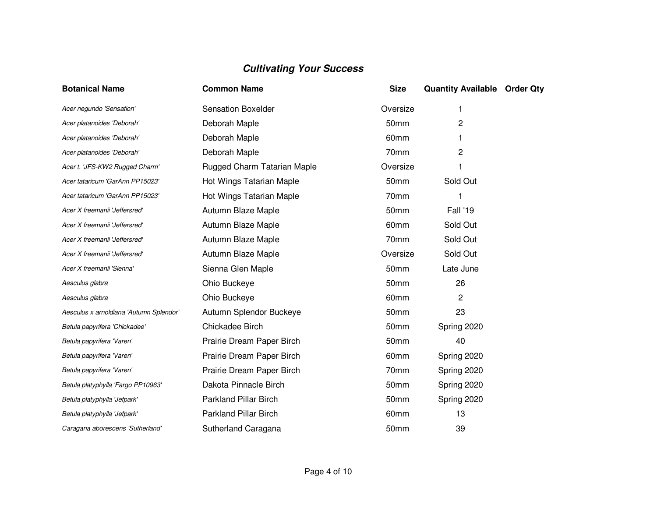| <b>Botanical Name</b>                   | <b>Common Name</b>           | <b>Size</b>      | <b>Quantity Available Order Qty</b> |  |
|-----------------------------------------|------------------------------|------------------|-------------------------------------|--|
| Acer negundo 'Sensation'                | <b>Sensation Boxelder</b>    | Oversize         |                                     |  |
| Acer platanoides 'Deborah'              | Deborah Maple                | 50mm             | 2                                   |  |
| Acer platanoides 'Deborah'              | Deborah Maple                | 60mm             |                                     |  |
| Acer platanoides 'Deborah'              | Deborah Maple                | 70mm             | 2                                   |  |
| Acer t. 'JFS-KW2 Rugged Charm'          | Rugged Charm Tatarian Maple  | Oversize         |                                     |  |
| Acer tataricum 'GarAnn PP15023'         | Hot Wings Tatarian Maple     | 50 <sub>mm</sub> | Sold Out                            |  |
| Acer tataricum 'GarAnn PP15023'         | Hot Wings Tatarian Maple     | 70mm             |                                     |  |
| Acer X freemanii 'Jeffersred'           | Autumn Blaze Maple           | 50mm             | Fall '19                            |  |
| Acer X freemanii 'Jeffersred'           | Autumn Blaze Maple           | 60mm             | Sold Out                            |  |
| Acer X freemanii 'Jeffersred'           | Autumn Blaze Maple           | 70mm             | Sold Out                            |  |
| Acer X freemanii 'Jeffersred'           | Autumn Blaze Maple           | Oversize         | Sold Out                            |  |
| Acer X freemanii 'Sienna'               | Sienna Glen Maple            | 50mm             | Late June                           |  |
| Aesculus glabra                         | Ohio Buckeye                 | 50mm             | 26                                  |  |
| Aesculus glabra                         | Ohio Buckeye                 | 60mm             | 2                                   |  |
| Aesculus x arnoldiana 'Autumn Splendor' | Autumn Splendor Buckeye      | 50mm             | 23                                  |  |
| Betula papyrifera 'Chickadee'           | Chickadee Birch              | 50mm             | Spring 2020                         |  |
| Betula papyrifera 'Varen'               | Prairie Dream Paper Birch    | 50mm             | 40                                  |  |
| Betula papyrifera 'Varen'               | Prairie Dream Paper Birch    | 60mm             | Spring 2020                         |  |
| Betula papyrifera 'Varen'               | Prairie Dream Paper Birch    | 70mm             | Spring 2020                         |  |
| Betula platyphylla 'Fargo PP10963'      | Dakota Pinnacle Birch        | 50 <sub>mm</sub> | Spring 2020                         |  |
| Betula platyphylla 'Jefpark'            | <b>Parkland Pillar Birch</b> | 50mm             | Spring 2020                         |  |
| Betula platyphylla 'Jefpark'            | <b>Parkland Pillar Birch</b> | 60mm             | 13                                  |  |
| Caragana aborescens 'Sutherland'        | Sutherland Caragana          | 50mm             | 39                                  |  |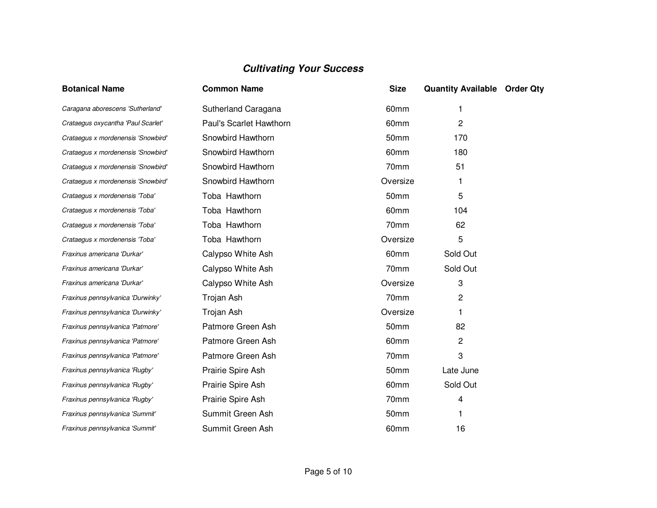| <b>Botanical Name</b>              | <b>Common Name</b>      | <b>Size</b>      | <b>Quantity Available Order Qty</b> |  |
|------------------------------------|-------------------------|------------------|-------------------------------------|--|
| Caragana aborescens 'Sutherland'   | Sutherland Caragana     | 60mm             | 1                                   |  |
| Crataegus oxycantha 'Paul Scarlet' | Paul's Scarlet Hawthorn | 60mm             | 2                                   |  |
| Crataegus x mordenensis 'Snowbird' | Snowbird Hawthorn       | 50mm             | 170                                 |  |
| Crataegus x mordenensis 'Snowbird' | Snowbird Hawthorn       | 60 <sub>mm</sub> | 180                                 |  |
| Crataegus x mordenensis 'Snowbird' | Snowbird Hawthorn       | 70mm             | 51                                  |  |
| Crataegus x mordenensis 'Snowbird' | Snowbird Hawthorn       | Oversize         | 1                                   |  |
| Crataegus x mordenensis 'Toba'     | Toba Hawthorn           | 50mm             | 5                                   |  |
| Crataegus x mordenensis 'Toba'     | Toba Hawthorn           | 60mm             | 104                                 |  |
| Crataegus x mordenensis 'Toba'     | Toba Hawthorn           | 70mm             | 62                                  |  |
| Crataegus x mordenensis 'Toba'     | Toba Hawthorn           | Oversize         | 5                                   |  |
| Fraxinus americana 'Durkar'        | Calypso White Ash       | 60mm             | Sold Out                            |  |
| Fraxinus americana 'Durkar'        | Calypso White Ash       | 70mm             | Sold Out                            |  |
| Fraxinus americana 'Durkar'        | Calypso White Ash       | Oversize         | 3                                   |  |
| Fraxinus pennsylvanica 'Durwinky'  | Trojan Ash              | 70mm             | 2                                   |  |
| Fraxinus pennsylvanica 'Durwinky'  | Trojan Ash              | Oversize         |                                     |  |
| Fraxinus pennsylvanica 'Patmore'   | Patmore Green Ash       | 50mm             | 82                                  |  |
| Fraxinus pennsylvanica 'Patmore'   | Patmore Green Ash       | 60mm             | 2                                   |  |
| Fraxinus pennsylvanica 'Patmore'   | Patmore Green Ash       | 70mm             | 3                                   |  |
| Fraxinus pennsylvanica 'Rugby'     | Prairie Spire Ash       | 50 <sub>mm</sub> | Late June                           |  |
| Fraxinus pennsylvanica 'Rugby'     | Prairie Spire Ash       | 60mm             | Sold Out                            |  |
| Fraxinus pennsylvanica 'Rugby'     | Prairie Spire Ash       | 70mm             | 4                                   |  |
| Fraxinus pennsylvanica 'Summit'    | Summit Green Ash        | 50mm             | 1                                   |  |
| Fraxinus pennsylvanica 'Summit'    | Summit Green Ash        | 60mm             | 16                                  |  |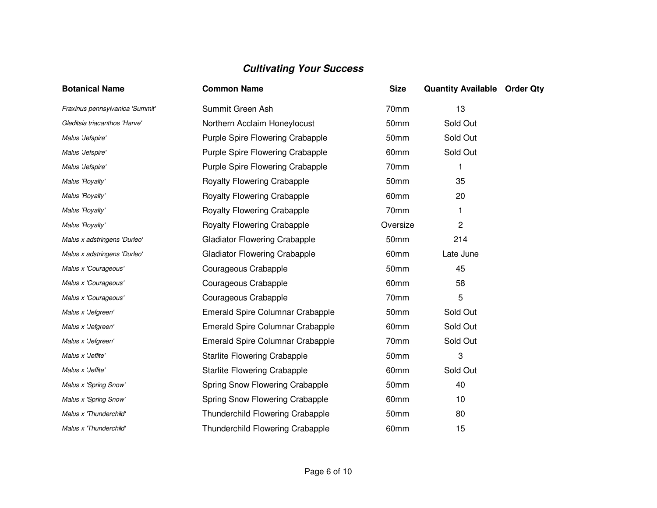| <b>Botanical Name</b>           | <b>Common Name</b>                   | <b>Size</b>      | <b>Quantity Available Order Qty</b> |  |
|---------------------------------|--------------------------------------|------------------|-------------------------------------|--|
| Fraxinus pennsylvanica 'Summit' | Summit Green Ash                     | 70mm             | 13                                  |  |
| Gleditsia triacanthos 'Harve'   | Northern Acclaim Honeylocust         | 50mm             | Sold Out                            |  |
| Malus 'Jefspire'                | Purple Spire Flowering Crabapple     | 50mm             | Sold Out                            |  |
| Malus 'Jefspire'                | Purple Spire Flowering Crabapple     | 60mm             | Sold Out                            |  |
| Malus 'Jefspire'                | Purple Spire Flowering Crabapple     | 70mm             | 1                                   |  |
| Malus 'Royalty'                 | Royalty Flowering Crabapple          | 50 <sub>mm</sub> | 35                                  |  |
| Malus 'Royalty'                 | <b>Royalty Flowering Crabapple</b>   | 60mm             | 20                                  |  |
| Malus 'Royalty'                 | <b>Royalty Flowering Crabapple</b>   | 70mm             | 1                                   |  |
| Malus 'Royalty'                 | <b>Royalty Flowering Crabapple</b>   | Oversize         | 2                                   |  |
| Malus x adstringens 'Durleo'    | <b>Gladiator Flowering Crabapple</b> | 50mm             | 214                                 |  |
| Malus x adstringens 'Durleo'    | <b>Gladiator Flowering Crabapple</b> | 60mm             | Late June                           |  |
| Malus x 'Courageous'            | Courageous Crabapple                 | 50mm             | 45                                  |  |
| Malus x 'Courageous'            | Courageous Crabapple                 | 60mm             | 58                                  |  |
| Malus x 'Courageous'            | Courageous Crabapple                 | 70mm             | 5                                   |  |
| Malus x 'Jefgreen'              | Emerald Spire Columnar Crabapple     | 50mm             | Sold Out                            |  |
| Malus x 'Jefgreen'              | Emerald Spire Columnar Crabapple     | 60mm             | Sold Out                            |  |
| Malus x 'Jefgreen'              | Emerald Spire Columnar Crabapple     | 70mm             | Sold Out                            |  |
| Malus x 'Jeflite'               | <b>Starlite Flowering Crabapple</b>  | 50mm             | 3                                   |  |
| Malus x 'Jeflite'               | <b>Starlite Flowering Crabapple</b>  | 60mm             | Sold Out                            |  |
| Malus x 'Spring Snow'           | Spring Snow Flowering Crabapple      | 50mm             | 40                                  |  |
| Malus x 'Spring Snow'           | Spring Snow Flowering Crabapple      | 60mm             | 10                                  |  |
| Malus x 'Thunderchild'          | Thunderchild Flowering Crabapple     | 50mm             | 80                                  |  |
| Malus x 'Thunderchild'          | Thunderchild Flowering Crabapple     | 60mm             | 15                                  |  |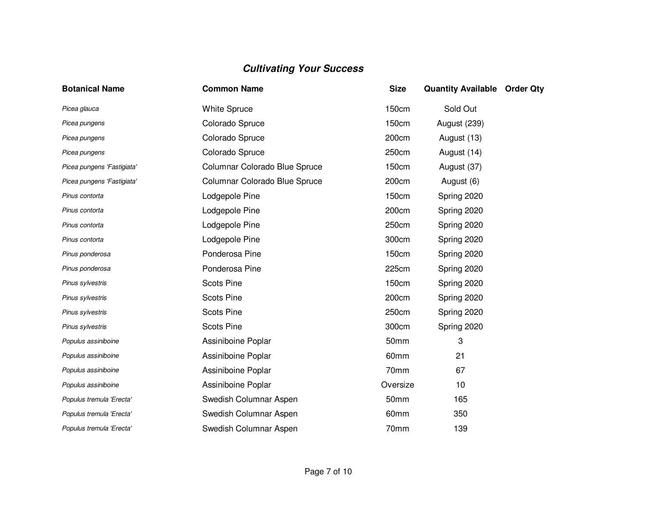| <b>Botanical Name</b>      | <b>Common Name</b>            | <b>Size</b>  | <b>Quantity Available Order Qty</b> |  |
|----------------------------|-------------------------------|--------------|-------------------------------------|--|
| Picea glauca               | <b>White Spruce</b>           | 150cm        | Sold Out                            |  |
| Picea pungens              | Colorado Spruce               | <b>150cm</b> | <b>August (239)</b>                 |  |
| Picea pungens              | Colorado Spruce               | 200cm        | August (13)                         |  |
| Picea pungens              | Colorado Spruce               | 250cm        | August (14)                         |  |
| Picea pungens 'Fastigiata' | Columnar Colorado Blue Spruce | 150cm        | August (37)                         |  |
| Picea pungens 'Fastigiata' | Columnar Colorado Blue Spruce | 200cm        | August (6)                          |  |
| Pinus contorta             | Lodgepole Pine                | 150cm        | Spring 2020                         |  |
| Pinus contorta             | Lodgepole Pine                | 200cm        | Spring 2020                         |  |
| Pinus contorta             | Lodgepole Pine                | 250cm        | Spring 2020                         |  |
| Pinus contorta             | Lodgepole Pine                | 300cm        | Spring 2020                         |  |
| Pinus ponderosa            | Ponderosa Pine                | 150cm        | Spring 2020                         |  |
| Pinus ponderosa            | Ponderosa Pine                | 225cm        | Spring 2020                         |  |
| Pinus sylvestris           | <b>Scots Pine</b>             | <b>150cm</b> | Spring 2020                         |  |
| Pinus sylvestris           | <b>Scots Pine</b>             | 200cm        | Spring 2020                         |  |
| Pinus sylvestris           | <b>Scots Pine</b>             | 250cm        | Spring 2020                         |  |
| Pinus sylvestris           | <b>Scots Pine</b>             | 300cm        | Spring 2020                         |  |
| Populus assiniboine        | Assiniboine Poplar            | 50mm         | 3                                   |  |
| Populus assiniboine        | Assiniboine Poplar            | 60mm         | 21                                  |  |
| Populus assiniboine        | Assiniboine Poplar            | 70mm         | 67                                  |  |
| Populus assiniboine        | Assiniboine Poplar            | Oversize     | 10                                  |  |
| Populus tremula 'Erecta'   | Swedish Columnar Aspen        | 50mm         | 165                                 |  |
| Populus tremula 'Erecta'   | Swedish Columnar Aspen        | 60mm         | 350                                 |  |
| Populus tremula 'Erecta'   | Swedish Columnar Aspen        | 70mm         | 139                                 |  |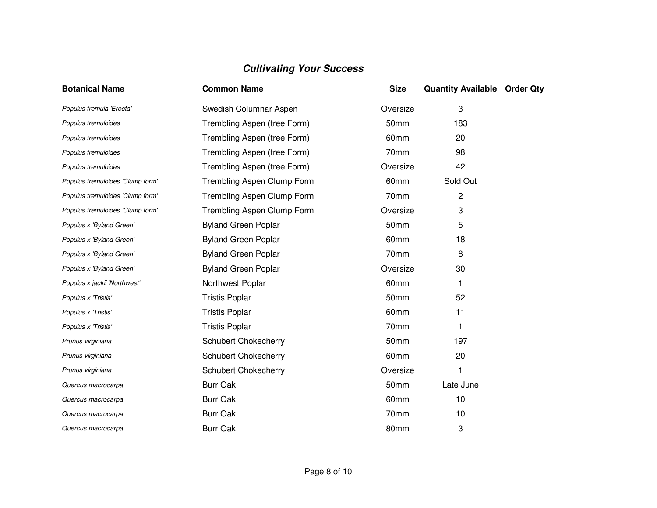| <b>Botanical Name</b>            | <b>Common Name</b>          | <b>Size</b> | <b>Quantity Available Order Qty</b> |  |
|----------------------------------|-----------------------------|-------------|-------------------------------------|--|
| Populus tremula 'Erecta'         | Swedish Columnar Aspen      | Oversize    | 3                                   |  |
| Populus tremuloides              | Trembling Aspen (tree Form) | 50mm        | 183                                 |  |
| Populus tremuloides              | Trembling Aspen (tree Form) | 60mm        | 20                                  |  |
| Populus tremuloides              | Trembling Aspen (tree Form) | 70mm        | 98                                  |  |
| Populus tremuloides              | Trembling Aspen (tree Form) | Oversize    | 42                                  |  |
| Populus tremuloides 'Clump form' | Trembling Aspen Clump Form  | 60mm        | Sold Out                            |  |
| Populus tremuloides 'Clump form' | Trembling Aspen Clump Form  | 70mm        | $\overline{c}$                      |  |
| Populus tremuloides 'Clump form' | Trembling Aspen Clump Form  | Oversize    | 3                                   |  |
| Populus x 'Byland Green'         | <b>Byland Green Poplar</b>  | 50mm        | 5                                   |  |
| Populus x 'Byland Green'         | <b>Byland Green Poplar</b>  | 60mm        | 18                                  |  |
| Populus x 'Byland Green'         | <b>Byland Green Poplar</b>  | 70mm        | 8                                   |  |
| Populus x 'Byland Green'         | <b>Byland Green Poplar</b>  | Oversize    | 30                                  |  |
| Populus x jackii 'Northwest'     | Northwest Poplar            | 60mm        | 1                                   |  |
| Populus x 'Tristis'              | <b>Tristis Poplar</b>       | 50mm        | 52                                  |  |
| Populus x 'Tristis'              | <b>Tristis Poplar</b>       | 60mm        | 11                                  |  |
| Populus x 'Tristis'              | <b>Tristis Poplar</b>       | 70mm        | 1                                   |  |
| Prunus virginiana                | <b>Schubert Chokecherry</b> | 50mm        | 197                                 |  |
| Prunus virginiana                | <b>Schubert Chokecherry</b> | 60mm        | 20                                  |  |
| Prunus virginiana                | Schubert Chokecherry        | Oversize    |                                     |  |
| Quercus macrocarpa               | <b>Burr Oak</b>             | 50mm        | Late June                           |  |
| Quercus macrocarpa               | <b>Burr Oak</b>             | 60mm        | 10                                  |  |
| Quercus macrocarpa               | <b>Burr Oak</b>             | 70mm        | 10                                  |  |
| Quercus macrocarpa               | <b>Burr Oak</b>             | 80mm        | 3                                   |  |
|                                  |                             |             |                                     |  |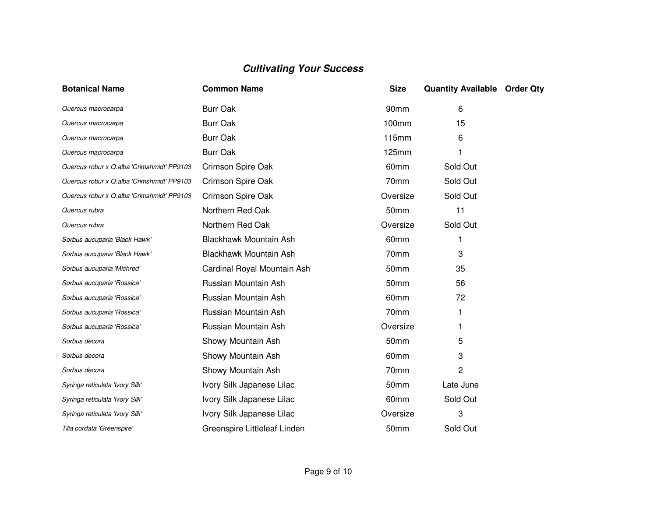| <b>Botanical Name</b>                      | <b>Common Name</b>           | <b>Size</b> | <b>Quantity Available Order Qty</b> |  |
|--------------------------------------------|------------------------------|-------------|-------------------------------------|--|
| Quercus macrocarpa                         | <b>Burr Oak</b>              | 90mm        | 6                                   |  |
| Quercus macrocarpa                         | <b>Burr Oak</b>              | 100mm       | 15                                  |  |
| Quercus macrocarpa                         | <b>Burr Oak</b>              | 115mm       | 6                                   |  |
| Quercus macrocarpa                         | <b>Burr Oak</b>              | 125mm       |                                     |  |
| Quercus robur x Q.alba 'Crimshmidt' PP9103 | Crimson Spire Oak            | 60mm        | Sold Out                            |  |
| Quercus robur x Q.alba 'Crimshmidt' PP9103 | Crimson Spire Oak            | 70mm        | Sold Out                            |  |
| Quercus robur x Q.alba 'Crimshmidt' PP9103 | Crimson Spire Oak            | Oversize    | Sold Out                            |  |
| Quercus rubra                              | Northern Red Oak             | 50mm        | 11                                  |  |
| Quercus rubra                              | Northern Red Oak             | Oversize    | Sold Out                            |  |
| Sorbus aucuparia 'Black Hawk'              | Blackhawk Mountain Ash       | 60mm        |                                     |  |
| Sorbus aucuparia 'Black Hawk'              | Blackhawk Mountain Ash       | 70mm        | 3                                   |  |
| Sorbus aucuparia 'Michred'                 | Cardinal Royal Mountain Ash  | 50mm        | 35                                  |  |
| Sorbus aucuparia 'Rossica'                 | Russian Mountain Ash         | 50mm        | 56                                  |  |
| Sorbus aucuparia 'Rossica'                 | Russian Mountain Ash         | 60mm        | 72                                  |  |
| Sorbus aucuparia 'Rossica'                 | Russian Mountain Ash         | 70mm        | 1                                   |  |
| Sorbus aucuparia 'Rossica'                 | Russian Mountain Ash         | Oversize    |                                     |  |
| Sorbus decora                              | Showy Mountain Ash           | 50mm        | 5                                   |  |
| Sorbus decora                              | Showy Mountain Ash           | 60mm        | 3                                   |  |
| Sorbus decora                              | Showy Mountain Ash           | 70mm        | 2                                   |  |
| Syringa reticulata 'Ivory Silk'            | Ivory Silk Japanese Lilac    | 50mm        | Late June                           |  |
| Syringa reticulata 'Ivory Silk'            | Ivory Silk Japanese Lilac    | 60mm        | Sold Out                            |  |
| Syringa reticulata 'Ivory Silk'            | Ivory Silk Japanese Lilac    | Oversize    | 3                                   |  |
| Tilia cordata 'Greenspire'                 | Greenspire Littleleaf Linden | 50mm        | Sold Out                            |  |